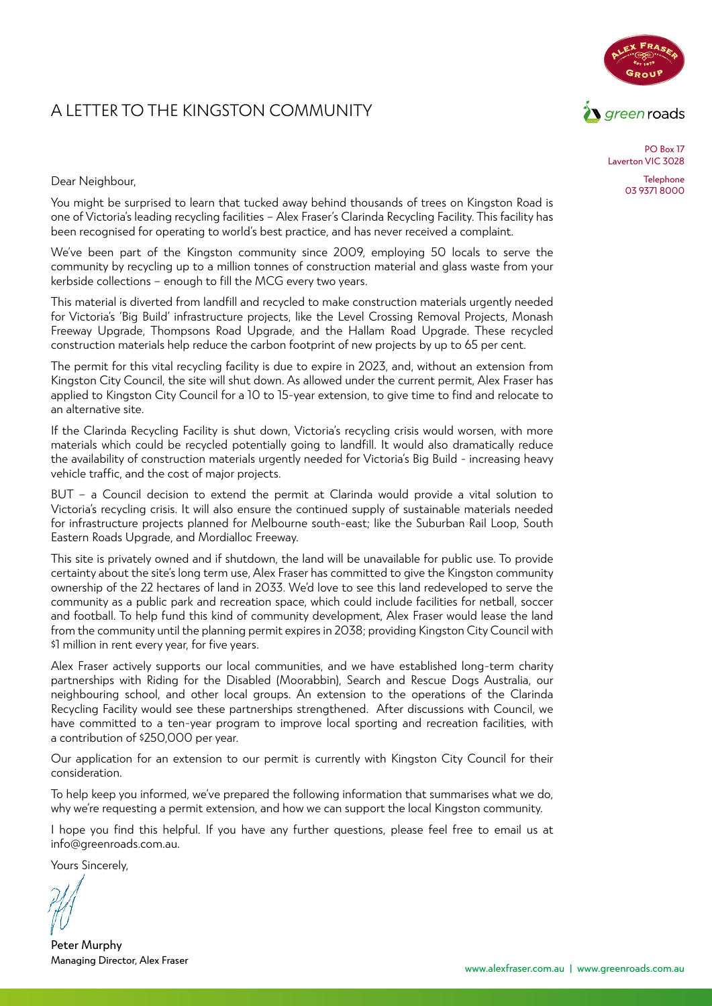### A LETTER TO THE KINGSTON COMMUNITY



PO Box 17 Laverton VIC 3028

> **Telephone** 03 9371 8000

Dear Neighbour,

You might be surprised to learn that tucked away behind thousands of trees on Kingston Road is one of Victoria's leading recycling facilities – Alex Fraser's Clarinda Recycling Facility. This facility has been recognised for operating to world's best practice, and has never received a complaint.

We've been part of the Kingston community since 2009, employing 50 locals to serve the community by recycling up to a million tonnes of construction material and glass waste from your kerbside collections – enough to fill the MCG every two years.

This material is diverted from landfill and recycled to make construction materials urgently needed for Victoria's 'Big Build' infrastructure projects, like the Level Crossing Removal Projects, Monash Freeway Upgrade, Thompsons Road Upgrade, and the Hallam Road Upgrade. These recycled construction materials help reduce the carbon footprint of new projects by up to 65 per cent.

The permit for this vital recycling facility is due to expire in 2023, and, without an extension from Kingston City Council, the site will shut down. As allowed under the current permit, Alex Fraser has applied to Kingston City Council for a 10 to 15-year extension, to give time to find and relocate to an alternative site.

If the Clarinda Recycling Facility is shut down, Victoria's recycling crisis would worsen, with more materials which could be recycled potentially going to landfill. It would also dramatically reduce the availability of construction materials urgently needed for Victoria's Big Build - increasing heavy vehicle traffic, and the cost of major projects.

BUT – a Council decision to extend the permit at Clarinda would provide a vital solution to Victoria's recycling crisis. It will also ensure the continued supply of sustainable materials needed for infrastructure projects planned for Melbourne south-east; like the Suburban Rail Loop, South Eastern Roads Upgrade, and Mordialloc Freeway.

This site is privately owned and if shutdown, the land will be unavailable for public use. To provide certainty about the site's long term use, Alex Fraser has committed to give the Kingston community ownership of the 22 hectares of land in 2033. We'd love to see this land redeveloped to serve the community as a public park and recreation space, which could include facilities for netball, soccer and football. To help fund this kind of community development, Alex Fraser would lease the land from the community until the planning permit expires in 2038; providing Kingston City Council with \$1 million in rent every year, for five years.

Alex Fraser actively supports our local communities, and we have established long-term charity partnerships with Riding for the Disabled (Moorabbin), Search and Rescue Dogs Australia, our neighbouring school, and other local groups. An extension to the operations of the Clarinda Recycling Facility would see these partnerships strengthened. After discussions with Council, we have committed to a ten-year program to improve local sporting and recreation facilities, with a contribution of \$250,000 per year.

Our application for an extension to our permit is currently with Kingston City Council for their consideration.

To help keep you informed, we've prepared the following information that summarises what we do, why we're requesting a permit extension, and how we can support the local Kingston community.

I hope you find this helpful. If you have any further questions, please feel free to email us at info@greenroads.com.au.

Yours Sincerely,

Peter Murphy Managing Director, Alex Fraser

www.alexfraser.com.au | www.greenroads.com.au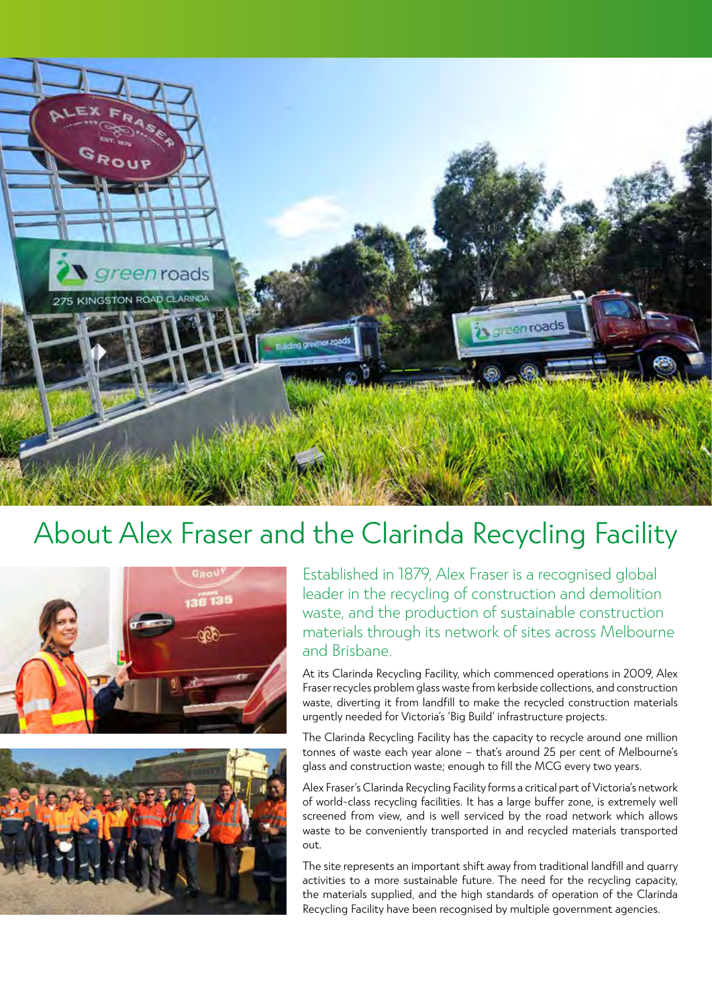

## About Alex Fraser and the Clarinda Recycling Facility





Established in 1879, Alex Fraser is a recognised global leader in the recycling of construction and demolition waste, and the production of sustainable construction materials through its network of sites across Melbourne and Brisbane.

At its Clarinda Recycling Facility, which commenced operations in 2009, Alex Fraser recycles problem glass waste from kerbside collections, and construction waste, diverting it from landfill to make the recycled construction materials urgently needed for Victoria's 'Big Build' infrastructure projects.

The Clarinda Recycling Facility has the capacity to recycle around one million tonnes of waste each year alone – that's around 25 per cent of Melbourne's glass and construction waste; enough to fill the MCG every two years.

Alex Fraser's Clarinda Recycling Facility forms a critical part of Victoria's network of world-class recycling facilities. It has a large buffer zone, is extremely well screened from view, and is well serviced by the road network which allows waste to be conveniently transported in and recycled materials transported out.

The site represents an important shift away from traditional landfill and quarry activities to a more sustainable future. The need for the recycling capacity, the materials supplied, and the high standards of operation of the Clarinda Recycling Facility have been recognised by multiple government agencies.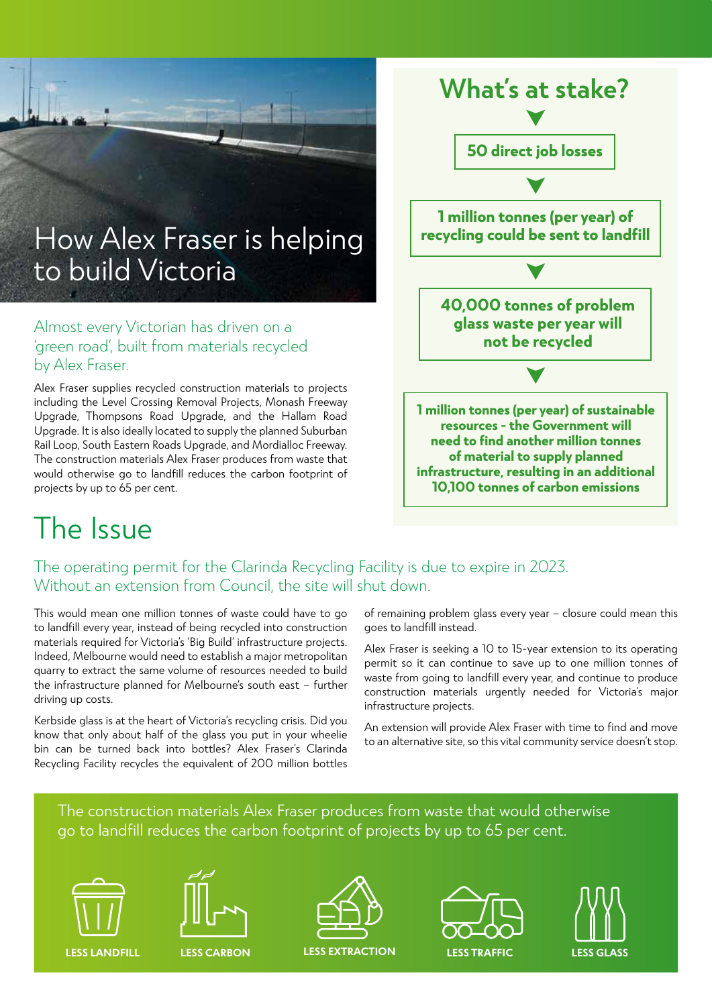

Alex Fraser supplies recycled construction materials to projects including the Level Crossing Removal Projects, Monash Freeway Upgrade, Thompsons Road Upgrade, and the Hallam Road Upgrade. It is also ideally located to supply the planned Suburban Rail Loop, South Eastern Roads Upgrade, and Mordialloc Freeway. The construction materials Alex Fraser produces from waste that would otherwise go to landfill reduces the carbon footprint of projects by up to 65 per cent.

### **What's at stake? 50 direct job losses 1 million tonnes (per year) of recycling could be sent to landfill 1 million tonnes (per year) of sustainable resources - the Government will need to find another million tonnes of material to supply planned infrastructure, resulting in an additional 10,100 tonnes of carbon emissions** ➤ ➤ ➤ ➤ **40,000 tonnes of problem glass waste per year will not be recycled**

# The Issue

### The operating permit for the Clarinda Recycling Facility is due to expire in 2023. Without an extension from Council, the site will shut down.

This would mean one million tonnes of waste could have to go to landfill every year, instead of being recycled into construction materials required for Victoria's 'Big Build' infrastructure projects. Indeed, Melbourne would need to establish a major metropolitan quarry to extract the same volume of resources needed to build the infrastructure planned for Melbourne's south east – further driving up costs.

Kerbside glass is at the heart of Victoria's recycling crisis. Did you know that only about half of the glass you put in your wheelie bin can be turned back into bottles? Alex Fraser's Clarinda Recycling Facility recycles the equivalent of 200 million bottles

of remaining problem glass every year – closure could mean this goes to landfill instead.

Alex Fraser is seeking a 10 to 15-year extension to its operating permit so it can continue to save up to one million tonnes of waste from going to landfill every year, and continue to produce construction materials urgently needed for Victoria's major infrastructure projects.

An extension will provide Alex Fraser with time to find and move to an alternative site, so this vital community service doesn't stop.

#### The construction materials Alex Fraser produces from waste that would otherwise go to landfill reduces the carbon footprint of projects by up to 65 per cent.









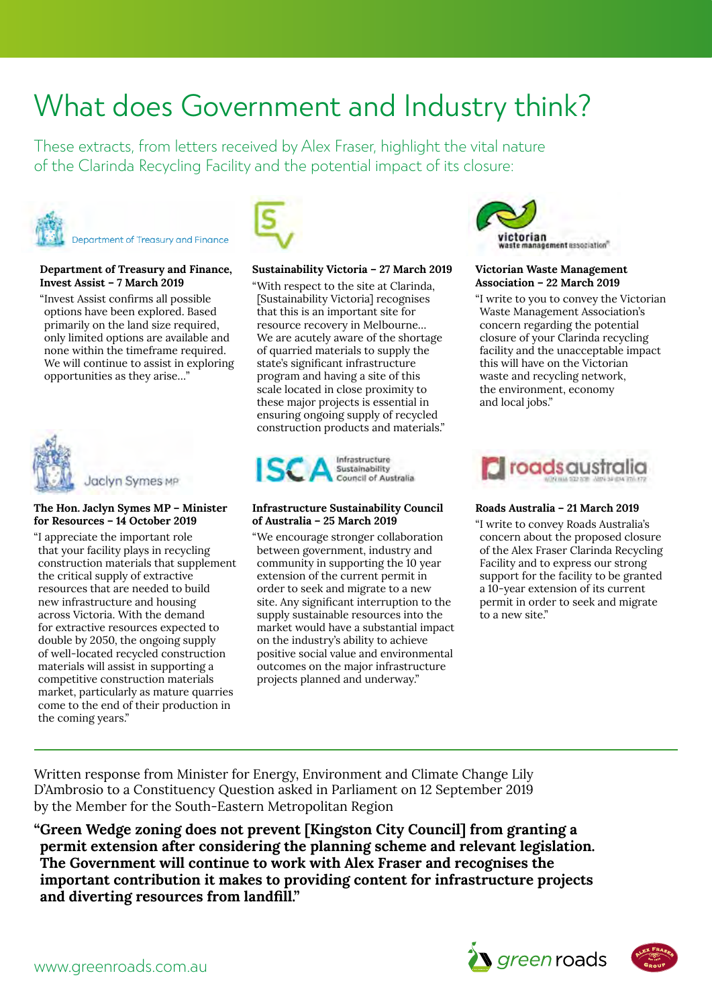## What does Government and Industry think?

These extracts, from letters received by Alex Fraser, highlight the vital nature of the Clarinda Recycling Facility and the potential impact of its closure:



#### **Department of Treasury and Finance, Invest Assist – 7 March 2019**

"Invest Assist confirms all possible options have been explored. Based primarily on the land size required, only limited options are available and none within the timeframe required. We will continue to assist in exploring opportunities as they arise…"



Jaclyn Symes MP

#### The Hon. Jaclyn Symes MP – Minister **for Resources – 14 October 2019**

"I appreciate the important role that your facility plays in recycling construction materials that supplement the critical supply of extractive resources that are needed to build new infrastructure and housing across Victoria. With the demand for extractive resources expected to double by 2050, the ongoing supply of well-located recycled construction <u>positive</u> materials will assist in supporting a competitive construction materials market, particularly as mature quarries come to the end of their production in the coming years."



#### **Sustainability Victoria – 27 March 2019**

"With respect to the site at Clarinda, [Sustainability Victoria] recognises that this is an important site for resource recovery in Melbourne… We are acutely aware of the shortage of quarried materials to supply the state's significant infrastructure program and having a site of this scale located in close proximity to these major projects is essential in ensuring ongoing supply of recycled construction products and materials."



#### **Infrastructure Sustainability Council of Australia – 25 March 2019**

"We encourage stronger collaboration between government, industry and community in supporting the 10 year extension of the current permit in order to seek and migrate to a new site. Any significant interruption to the supply sustainable resources into the ive resources expected to market would have a substantial impact 2050, the ongoing supply was the industry's ability to achieve the sustainable construction material positive social value and environmental outcomes on the major infrastructure e construction materials projects planned and underway."



#### **Victorian Waste Management Association – 22 March 2019**

"I write to you to convey the Victorian Waste Management Association's 22.03.2019 concern regarding the potential closure of your Clarinda recycling **Peter Murphy**  facility and the unacceptable impact this will have on the Victorian waste and recycling network, the environment, economy and local jobs."  $\cos\theta$  Divisor  $\sin\theta$ 



#### Roads Australia – 21 March 2019

"I write to convey Roads Australia's concern about the proposed closure of the Alex Fraser Clarinda Recycling Facility and to express our strong support for the facility to be granted a 10-year extension of its current permit in order to seek and migrate to a new site." 'Waste and Recycling', and nominated in the same year indirectly for your contribution to MIRRAT

Written response from Minister for Energy, Environment and Climate Change Lily D'Ambrosio to a Constituency Question asked in Parliament on 12 September 2019 by the Member for the South-Eastern Metropolitan Region **Executive Officer** 

**"Green Wedge zoning does not prevent [Kingston City Council] from granting a permit extension after considering the planning scheme and relevant legislation. The Government will continue to work with Alex Fraser and recognises the important contribution it makes to providing content for infrastructure projects Ainsley Simpson and diverting resources from landfill." CEO, ISCA** Level 1, Mirrat House, 46 Kooringa Way, Webb Dock West, Port Melbourne 3207 t. 03 9646 8590



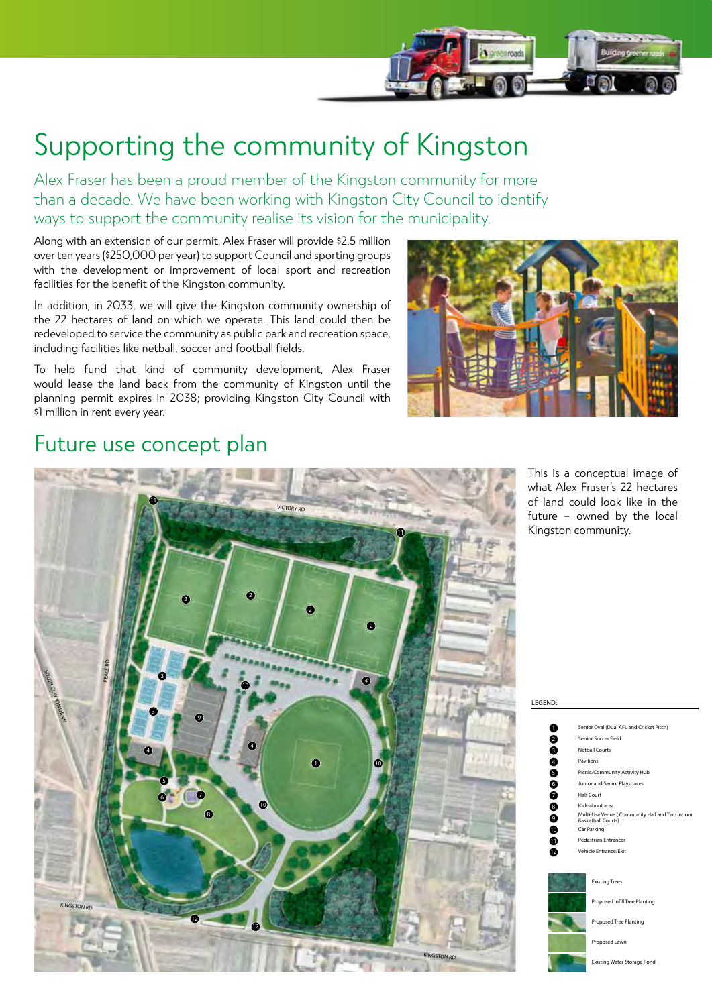

# Supporting the community of Kingston

Alex Fraser has been a proud member of the Kingston community for more than a decade. We have been working with Kingston City Council to identify ways to support the community realise its vision for the municipality.

Along with an extension of our permit, Alex Fraser will provide \$2.5 million over ten years (\$250,000 per year) to support Council and sporting groups with the development or improvement of local sport and recreation facilities for the benefit of the Kingston community.

In addition, in 2033, we will give the Kingston community ownership of the 22 hectares of land on which we operate. This land could then be redeveloped to service the community as public park and recreation space, including facilities like netball, soccer and football fields.

To help fund that kind of community development, Alex Fraser would lease the land back from the community of Kingston until the planning permit expires in 2038; providing Kingston City Council with \$1 million in rent every year.



### Future use concept plan



of land could look like in the This is a conceptual image of 2 what Alex Fraser's 22 hectares future – owned by the local Kingston community.

LEGEND:

| ٥                         | Senior Oval (Dual AFL and Cricket Pitch)                                    |
|---------------------------|-----------------------------------------------------------------------------|
| Ø                         | Senior Soccer Field                                                         |
| 8                         | <b>Netball Courts</b>                                                       |
| 4                         | Pavilions                                                                   |
| 6                         | Picnic/Community Activity Hub                                               |
| 6                         | Junior and Senior Playspaces                                                |
| 2                         | Half Court                                                                  |
| $\left[ \right. 8\right]$ | Kick-about area                                                             |
| 9                         | Multi-Use Venue (Community Hall and Two Indoor<br><b>Basketball Courts)</b> |
| ◐                         | Car Parking                                                                 |
| Φ                         | <b>Pedestrian Entrances</b>                                                 |
| Ð                         | <b>Vehicle Entrance/Exit</b>                                                |
|                           |                                                                             |
|                           | <b>Existing Trees</b>                                                       |
|                           | Proposed Infill Tree Planting                                               |
|                           | Proposed Tree Planting                                                      |
|                           | Proposed Lawn                                                               |
|                           |                                                                             |

Existing Water Storage Po